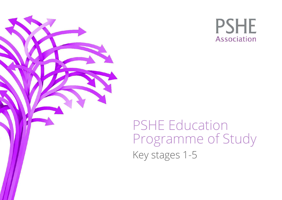



PSHE Education Programme of Study Key stages 1-5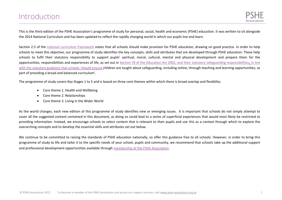<span id="page-1-0"></span>This is the third edition of the PSHE Association's programme of study for personal, social, health and economic (PSHE) education. It was written to sit alongside the 2014 National Curriculum and has been updated to reflect the rapidly changing world in which our pupils live and learn.

Section 2.5 of the [national curriculum framework](https://www.gov.uk/government/publications/national-curriculum-in-england-framework-for-key-stages-1-to-4/the-national-curriculum-in-england-framework-for-key-stages-1-to-4) states that all schools should make provision for PSHE education, drawing on good practice. In order to help schools to meet this objective, our programme of study identifies the key concepts, skills and attributes that are developed through PSHE education. These help schools to fulfil their statutory responsibility to support pupils' spiritual, moral, cultural, mental and physical development and prepare them for the opportunities, responsibilities and experiences of life, as set out in [Section 78 of the Education Act 2002,](http://www.legislation.gov.uk/ukpga/2002/32/section/78) and their statutory safeguarding responsibilities, in line with th[e statutory guidance](https://www.gov.uk/government/uploads/system/uploads/attachment_data/file/550511/Keeping_children_safe_in_education.pdf) that schools 'should ensure children are taught about safeguarding, including online, through teaching and learning opportunities, as part of providing a broad and balanced curriculum'.

The programme of study covers Key Stages 1 to 5 and is based on three core themes within which there is broad overlap and flexibility:

- Core theme 1. Health and Wellbeing
- Core theme 2. Relationships
- Core theme 3. Living in the Wider World

As the world changes, each new edition of this programme of study identifies new or emerging issues. It is important that schools do not simply attempt to cover all the suggested content contained in this document, as doing so could lead to a series of superficial experiences that would most likely be restricted to providing information. Instead, we encourage schools to select content that is relevant to their pupils and use this as a context through which to explore the overarching concepts and to develop the essential skills and attributes set out below.

We continue to be committed to raising the standards of PSHE education nationally, so offer this guidance free to all schools. However, in order to bring this programme of study to life and tailor it to the specific needs of your school, pupils and community, we recommend that schools take up the additional support and professional development opportunities available through [membership of the PSHE Association](https://www.pshe-association.org.uk/membership).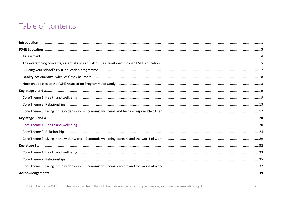## Table of contents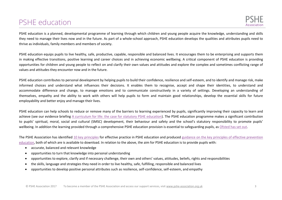## <span id="page-3-0"></span>PSHE education

PSHE education is a planned, developmental programme of learning through which children and young people acquire the knowledge, understanding and skills they need to manage their lives now and in the future. As part of a whole-school approach, PSHE education develops the qualities and attributes pupils need to thrive as individuals, family members and members of society.

PSHE education equips pupils to live healthy, safe, productive, capable, responsible and balanced lives. It encourages them to be enterprising and supports them in making effective transitions, positive learning and career choices and in achieving economic wellbeing. A critical component of PSHE education is providing opportunities for children and young people to reflect on and clarify their own values and attitudes and explore the complex and sometimes conflicting range of values and attitudes they encounter now and in the future.

PSHE education contributes to personal development by helping pupils to build their confidence, resilience and self-esteem, and to identify and manage risk, make informed choices and understand what influences their decisions. It enables them to recognise, accept and shape their identities, to understand and accommodate difference and change, to manage emotions and to communicate constructively in a variety of settings. Developing an understanding of themselves, empathy and the ability to work with others will help pupils to form and maintain good relationships, develop the essential skills for future employability and better enjoy and manage their lives.

PSHE education can help schools to reduce or remove many of the barriers to learning experienced by pupils, significantly improving their capacity to learn and achieve (see our evidence briefing [A curriculum for life: the case for statutory PSHE education\)](https://www.pshe-association.org.uk/curriculum-and-resources/resources/curriculum-life-case-statutory-pshe-education). The PSHE education programme makes a significant contribution to pupils' spiritual, moral, social and cultural (SMSC) development, their behaviour and safety and the school's statutory responsibility to promote pupils' wellbeing. In addition the learning provided through a comprehensive PSHE education provision is essential to safeguarding pupils, a[s Ofsted has set out.](https://www.pshe-association.org.uk/news-and-blog/blog-entry/ofsted-blog-striving-good-or-outstanding-pshe)

The PSHE Association has identified [10 key principles](https://www.pshe-association.org.uk/curriculum-and-resources/resources/ten-principles-effective-pshe-education) for effective practice in PSHE education and produced [guidance on the key principles of effective prevention](https://www.pshe-association.org.uk/curriculum-and-resources/resources/key-principles-effective-prevention-education)  [education,](https://www.pshe-association.org.uk/curriculum-and-resources/resources/key-principles-effective-prevention-education) both of which are is available to download. In relation to the above, the aim for PSHE education is to provide pupils with:

- accurate, balanced and relevant knowledge
- opportunities to turn that knowledge into personal understanding
- opportunities to explore, clarify and if necessary challenge, their own and others' values, attitudes, beliefs, rights and responsibilities
- the skills, language and strategies they need in order to live healthy, safe, fulfilling, responsible and balanced lives
- opportunities to develop positive personal attributes such as resilience, self-confidence, self-esteem, and empathy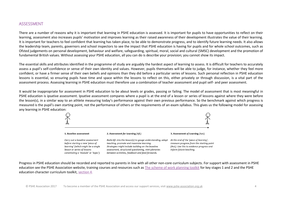#### <span id="page-4-0"></span>ASSESSMENT

There are a number of reasons why it is important that learning in PSHE education is assessed. It is important for pupils to have opportunities to reflect on their learning, assessment also increases pupils' motivation and improves learning as their raised awareness of their development illustrates the value of their learning. It is important for teachers to feel confident that learning has taken place, to be able to demonstrate progress, and to identify future learning needs. It also allows the leadership team, parents, governors and school inspectors to see the impact that PSHE education is having for pupils and for whole school outcomes, such as Ofsted judgements on personal development, behaviour and welfare, safeguarding, spiritual, moral, social and cultural (SMSC) development and the promotion of fundamental British values. Without assessing your PSHE education, all you can do is describe your provision; you cannot show its impact.

The essential skills and attributes identified in the programme of study are arguably the hardest aspect of learning to assess. It is difficult for teachers to accurately assess a pupil's self-confidence or sense of their own identity and values. However, pupils themselves will be able to judge, for instance, whether they feel more confident, or have a firmer sense of their own beliefs and opinions than they did before a particular series of lessons. Such personal reflection in PSHE education lessons is essential, so ensuring pupils have time and space within the lessons to reflect on this, either privately or through discussion, is a vital part of the assessment process. Assessing learning in PSHE education must therefore use a combination of teacher assessment and pupil self- and peer assessment.

It would be inappropriate for assessment in PSHE education to be about levels or grades, passing or failing. The model of assessment that is most meaningful in PSHE education is ipsative assessment. Ipsative assessment compares where a pupil is at the end of a lesson or series of lessons against where they were before the lesson(s), in a similar way to an athlete measuring today's performance against their own previous performance. So the benchmark against which progress is measured is the pupil's own starting point, not the performance of others or the requirements of an exam syllabus. This gives us the following model for assessing any learning in PSHE education:



Progress in PSHE education should be recorded and reported to parents in line with all other non-core curriculum subjects. For support with assessment in PSHE education see the PSHE Association website, training courses and resources such as [The scheme of work planning toolkit](https://www.pshe-association.org.uk/curriculum-and-resources/resources/scheme-work-planning-toolkit-key-stages-1-and-2) for key stages 1 and 2 and the PSHE education character curriculum toolkit, [section 4.](https://www.pshe-association.org.uk/sites/default/files/Section%204%20-%20PSHE%20education%20character%20curriculum_Practical%20guidance%20for%20delivery_0.pdf)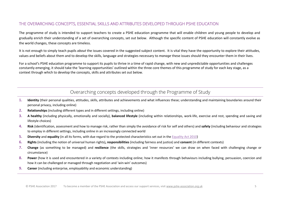#### <span id="page-5-0"></span>THE OVERARCHING CONCEPTS, ESSENTIAL SKILLS AND ATTRIBUTES DEVELOPED THROUGH PSHE EDUCATION

The programme of study is intended to support teachers to create a PSHE education programme that will enable children and young people to develop and gradually enrich their understanding of a set of overarching concepts, set out below. Although the specific content of PSHE education will constantly evolve as the world changes, these concepts are timeless.

It is not enough to simply teach pupils *about* the issues covered in the suggested subject content. It is vital they have the opportunity to explore their attitudes, values and beliefs about them and to develop the skills, language and strategies necessary to *manage* these issues should they encounter them in their lives.

For a school's PSHE education programme to support its pupils to thrive in a time of rapid change, with new and unpredictable opportunities and challenges constantly emerging, it should take the 'learning opportunities' outlined within the three core themes of this programme of study for each key stage, as a context through which to develop the concepts, skills and attributes set out below.

### Overarching concepts developed through the Programme of Study

- **1. Identity** (their personal qualities, attitudes, skills, attributes and achievements and what influences these; understanding and maintaining boundaries around their personal privacy, including online)
- **2. Relationships** (including different types and in different settings, including online)
- **3. A healthy** (including physically, emotionally and socially), **balanced lifestyle** (including within relationships, work-life, exercise and rest, spending and saving and lifestyle choices)
- **4. Risk** (identification, assessment and how to manage risk, rather than simply the avoidance of risk for self and others) and **safety** (including behaviour and strategies to employ in different settings, including online in an increasingly connected world
- **5. Diversity** and **equality** (in all its forms, with due regard to the protected characteristics set out in the [Equality Act 2010\)](https://www.gov.uk/guidance/equality-act-2010-guidance)
- **6. Rights** (including the notion of universal human rights)**, responsibilities** (including fairness and justice) and **consent** (in different contexts)
- **7.** Change (as something to be managed) and resilience (the skills, strategies and 'inner resources' we can draw on when faced with challenging change or circumstance)
- **8. Power** (how it is used and encountered in a variety of contexts including online; how it manifests through behaviours including bullying, persuasion, coercion and how it can be challenged or managed through negotiation and 'win-win' outcomes)
- **9. Career** (including enterprise, employability and economic understanding)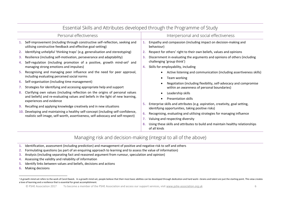| Essential Skills and Attributes developed through the Programme of Study |                                                                                                                                                                                                         |                |                                                                                                                                                |  |
|--------------------------------------------------------------------------|---------------------------------------------------------------------------------------------------------------------------------------------------------------------------------------------------------|----------------|------------------------------------------------------------------------------------------------------------------------------------------------|--|
|                                                                          | Personal effectiveness                                                                                                                                                                                  |                | Interpersonal and social effectiveness                                                                                                         |  |
|                                                                          | Self-improvement (including through constructive self-reflection, seeking and<br>utilising constructive feedback and effective goal-setting)                                                            |                | Empathy and compassion (including impact on decision-making and<br>behaviour)                                                                  |  |
| 2.                                                                       | Identifying unhelpful 'thinking traps' (e.g. generalisation and stereotyping)                                                                                                                           | 2.             | Respect for others' right to their own beliefs, values and opinions                                                                            |  |
| З.<br>4.                                                                 | Resilience (including self-motivation, perseverance and adaptability)<br>Self-regulation (including promotion of a positive, growth mind-set <sup>1</sup> and<br>managing strong emotions and impulses) | З.<br>4.       | Discernment in evaluating the arguments and opinions of others (including<br>challenging 'group think')<br>Skills for employability, including |  |
| 5.                                                                       | Recognising and managing peer influence and the need for peer approval,<br>including evaluating perceived social norms                                                                                  |                | Active listening and communication (including assertiveness skills)<br>Team working                                                            |  |
| 6.<br>7.                                                                 | Self-organisation (including time management)<br>Strategies for identifying and accessing appropriate help and support                                                                                  |                | Negotiation (including flexibility, self-advocacy and compromise<br>within an awareness of personal boundaries)                                |  |
| 8.                                                                       | Clarifying own values (including reflection on the origins of personal values<br>and beliefs) and re-evaluating values and beliefs in the light of new learning,<br>experiences and evidence            | 5.<br>6.<br>7. | Leadership skills<br><b>Presentation skills</b>                                                                                                |  |
| 9.                                                                       | Recalling and applying knowledge creatively and in new situations                                                                                                                                       |                | Enterprise skills and attributes (e.g. aspiration, creativity, goal setting,<br>identifying opportunities, taking positive risks)              |  |
|                                                                          | 10. Developing and maintaining a healthy self-concept (including self-confidence,<br>realistic self-image, self-worth, assertiveness, self-advocacy and self-respect)                                   |                | Recognising, evaluating and utilising strategies for managing influence<br>Valuing and respecting diversity                                    |  |
|                                                                          |                                                                                                                                                                                                         |                | Using these skills and attributes to build and maintain healthy relationships<br>of all kinds                                                  |  |

#### $\mathbf{r}$  and  $\mathbf{r}$  $\mathbf{r}$  and  $\mathbf{r}$  $\sim$  $\sim$  $\mathbf{r} = \mathbf{r}$  $\sim$  $\sim$  $\sim$  $\sim$

### Managing risk and decision-making (integral to all of the above)

- 1. Identification, assessment (including prediction) and management of positive and negative risk to self and others
- 2. Formulating questions (as part of an enquiring approach to learning and to assess the value of information)
- 3. Analysis (including separating fact and reasoned argument from rumour, speculation and opinion)
- Assessing the validity and reliability of information  $4.$
- Identify links between values and beliefs, decisions and actions  $5.$
- **Making decisions**  $6.$

<sup>&</sup>lt;sup>1</sup> A growth mind-set refers to the work of Carol Dweck. In a growth mind-set, people believe that their most basic abilities can be developed through dedication and hard work—brains and talent are just the starting point. a love of learning and a resilience that is essential for great accomplishment.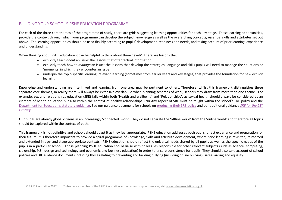#### <span id="page-7-0"></span>BUILDING YOUR SCHOOL'S PSHE EDUCATION PROGRAMME

For each of the three core themes of the programme of study, there are grids suggesting learning opportunities for each key stage. These learning opportunities, provide the context through which your programme can develop the subject knowledge as well as the overarching concepts, essential skills and attributes set out above. The learning opportunities should be used flexibly according to pupils' development, readiness and needs, and taking account of prior learning, experience and understanding.

When thinking about PSHE education it can be helpful to think about three 'levels'. There are lessons that

- explicitly teach *about* an issue: the lessons that offer factual information
- explicitly teach how to manage an issue: the lessons that develop the strategies, language and skills pupils will need to manage the situations or 'moments' in which they encounter an issue
- underpin the topic-specific learning: relevant learning (sometimes from earlier years and key stages) that provides the foundation for new explicit learning

Knowledge and understanding are interlinked and learning from one area may be pertinent to others. Therefore, whilst this framework distinguishes three separate core themes, in reality there will always be extensive overlap. So when planning schemes of work, schools may draw from more than one theme. For example, sex and relationships education (SRE) falls within both 'Health and wellbeing' and 'Relationships', as sexual health should always be considered as an element of health education but also within the context of healthy relationships. (NB Any aspect of SRE must be taught within the school's SRE policy and the Department for Education's statutory guidance. See our guidance document for schools on producing their SRE policy and our additional guidance SRE for the 21<sup>st</sup> Century.

Our pupils are already global citizens in an increasingly 'connected' world. They do not separate the 'offline world' from the 'online world' and therefore all topics should be explored within the context of both.

This framework is not definitive and schools should adapt it as they feel appropriate. PSHE education addresses both pupils' direct experience and preparation for their future. It is therefore important to provide a spiral programme of knowledge, skills and attribute development, where prior learning is revisited, reinforced and extended in age- and stage-appropriate contexts. PSHE education should reflect the universal needs shared by all pupils as well as the specific needs of the pupils in a particular school. Those planning PSHE education should liaise with colleagues responsible for other relevant subjects (such as science, computing, citizenship, P.E., design and technology and economic and business education) in order to ensure consistency for pupils. They should also take account of school policies and DfE guidance documents including those relating to preventing and tackling bullying (including online bullying), safeguarding and equality.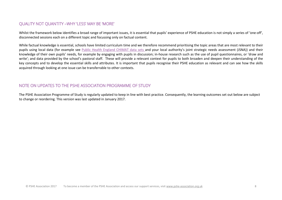#### <span id="page-8-0"></span>QUALITY NOT QUANTITY - WHY 'LESS' MAY BE 'MORE'

Whilst the framework below identifies a broad range of important issues, it is essential that pupils' experience of PSHE education is not simply a series of 'one-off', disconnected sessions each on a different topic and focussing only on factual content.

While factual knowledge is essential, schools have limited curriculum time and we therefore recommend prioritising the topic areas that are most relevant to their pupils using local data (for example see Public Health England CHIMAT data sets and your local authority's joint strategic needs assessment (JSNA)) and their knowledge of their own pupils' needs, for example by engaging with pupils in discussion; in-house research such as the use of pupil questionnaires, or 'draw and write'; and data provided by the school's pastoral staff. These will provide a relevant context for pupils to both broaden and deepen their understanding of the key concepts and to develop the essential skills and attributes. It is important that pupils recognise their PSHE education as relevant and can see how the skills acquired through looking at one issue can be transferrable to other contexts.

#### <span id="page-8-1"></span>NOTE ON UPDATES TO THE PSHE ASSOCIATION PROGRAMME OF STUDY

The PSHE Association Programme of Study is regularly updated to keep in line with best practice. Consequently, the learning outcomes set out below are subject to change or reordering. This version was last updated in January 2017.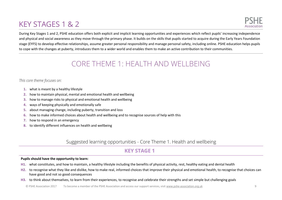# <span id="page-9-0"></span>**KEY STAGES 1 & 2**



During Key Stages 1 and 2, PSHE education offers both explicit and implicit learning opportunities and experiences which reflect pupils' increasing independence and physical and social awareness as they move through the primary phase. It builds on the skills that pupils started to acquire during the Early Years Foundation stage (EYFS) to develop effective relationships, assume greater personal responsibility and manage personal safety, including online. PSHE education helps pupils to cope with the changes at puberty, introduces them to a wider world and enables them to make an active contribution to their communities.

## **CORE THEME 1: HEALTH AND WELLBEING**

#### <span id="page-9-1"></span>This core theme focuses on:

- 1. what is meant by a healthy lifestyle
- how to maintain physical, mental and emotional health and wellbeing  $2.$
- how to manage risks to physical and emotional health and wellbeing  $3.$
- ways of keeping physically and emotionally safe 4.
- about managing change, including puberty, transition and loss 5.
- how to make informed choices about health and wellbeing and to recognise sources of help with this 6.
- 7. how to respond in an emergency
- 8. to identify different influences on health and wellbeing

### Suggested learning opportunities - Core Theme 1. Health and wellbeing

## **KFY STAGF1**

#### Pupils should have the opportunity to learn:

- H1. what constitutes, and how to maintain, a healthy lifestyle including the benefits of physical activity, rest, healthy eating and dental health
- to recognise what they like and dislike, how to make real, informed choices that improve their physical and emotional health, to recognise that choices can  $H2<sub>1</sub>$ have good and not so good consequences
- H3. to think about themselves, to learn from their experiences, to recognise and celebrate their strengths and set simple but challenging goals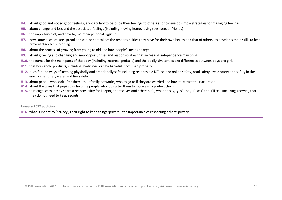- **H4.** about good and not so good feelings, a vocabulary to describe their feelings to others and to develop simple strategies for managing feelings
- **H5.** about change and loss and the associated feelings (including moving home, losing toys, pets or friends)
- **H6.** the importance of, and how to, maintain personal hygiene
- **H7.** how some diseases are spread and can be controlled; the responsibilities they have for their own health and that of others; to develop simple skills to help prevent diseases spreading
- **H8.** about the process of growing from young to old and how people's needs change
- **H9.** about growing and changing and new opportunities and responsibilities that increasing independence may bring
- **H10.** the names for the main parts of the body (including external genitalia) and the bodily similarities and differences between boys and girls
- **H11.** that household products, including medicines, can be harmful if not used properly
- **H12.** rules for and ways of keeping physically and emotionally safe including responsible ICT use and online safety, road safety, cycle safety and safety in the environment, rail, water and fire safety
- **H13.** about people who look after them, their family networks, who to go to if they are worried and how to attract their attention
- **H14.** about the ways that pupils can help the people who look after them to more easily protect them
- H15. to recognise that they share a responsibility for keeping themselves and others safe, when to say, 'yes', 'no', 'I'll ask' and 'I'll tell' including knowing that they do not need to keep secrets

#### **January 2017 addition:**

**H16.** what is meant by 'privacy'; their right to keep things 'private'; the importance of respecting others' privacy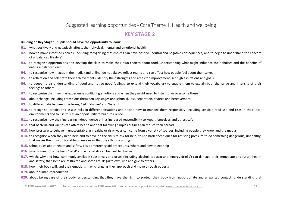#### **Building on Key Stage 1, pupils should have the opportunity to learn:**

- **H1.** what positively and negatively affects their physical, mental and emotional health
- **H2.** how to make informed choices (including recognising that choices can have positive, neutral and negative consequences) and to begin to understand the concept of a 'balanced lifestyle'
- **H3.** to recognise opportunities and develop the skills to make their own choices about food, understanding what might influence their choices and the benefits of eating a balanced diet
- **H4.** to recognise how images in the media (and online) do not always reflect reality and can affect how people feel about themselves
- **H5.** to reflect on and celebrate their achievements, identify their strengths and areas for improvement, set high aspirations and goals
- **H6.** to deepen their understanding of good and not so good feelings, to extend their vocabulary to enable them to explain both the range and intensity of their feelings to others
- **H7.** to recognise that they may experience conflicting emotions and when they might need to listen to, or overcome these
- **H8.** about change, including transitions (between key stages and schools), loss, separation, divorce and bereavement
- H9. to differentiate between the terms, 'risk', 'danger' and 'hazard'
- **H10.** to recognise, predict and assess risks in different situations and decide how to manage them responsibly (including sensible road use and risks in their local environment) and to use this as an opportunity to build resilience
- **H11.** to recognise how their increasing independence brings increased responsibility to keep themselves and others safe
- **H12.** that bacteria and viruses can affect health and that following simple routines can reduce their spread
- **H13.** how pressure to behave in unacceptable, unhealthy or risky ways can come from a variety of sources, including people they know and the media
- **H14.** to recognise when they need help and to develop the skills to ask for help; to use basic techniques for resisting pressure to do something dangerous, unhealthy, that makes them uncomfortable or anxious or that they think is wrong
- **H15.** school rules about health and safety, basic emergency aid procedures, where and how to get help
- **H16.** what is meant by the term 'habit' and why habits can be hard to change
- H17. which, why and how, commonly available substances and drugs (including alcohol, tobacco and 'energy drinks') can damage their immediate and future health and safety; that some are restricted and some are illegal to own, use and give to others
- **H18.** how their body will, and their emotions may, change as they approach and move through puberty
- **H19.** about human reproduction
- **H20.** about taking care of their body, understanding that they have the right to protect their body from inappropriate and unwanted contact; understanding that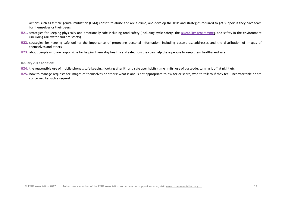actions such as female genital mutilation (FGM) constitute abuse and are a crime, and develop the skills and strategies required to get support if they have fears for themselves or their peers

- H21. strategies for keeping physically and emotionally safe including road safety (including cycle safety- the [Bikeability programme\)](https://bikeability.dft.gov.uk/), and safety in the environment (including rail, water and fire safety)
- H22. strategies for keeping safe online; the importance of protecting personal information, including passwords, addresses and the distribution of images of themselves and others
- **H23.** about people who are responsible for helping them stay healthy and safe; how they can help these people to keep them healthy and safe

**January 2017 addition:**

- **H24.** the responsible use of mobile phones: safe keeping (looking after it) and safe user habits (time limits, use of passcode, turning it off at night etc.)
- **H25.** how to manage requests for images of themselves or others; what is and is not appropriate to ask for or share; who to talk to if they feel uncomfortable or are concerned by such a request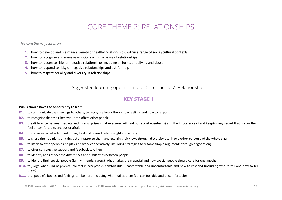## CORE THEME 2: RELATIONSHIPS

<span id="page-13-0"></span>*This core theme focuses on:* 

- **1.** how to develop and maintain a variety of healthy relationships, within a range of social/cultural contexts
- **2.** how to recognise and manage emotions within a range of relationships
- **3.** how to recognise risky or negative relationships including all forms of bullying and abuse
- **4.** how to respond to risky or negative relationships and ask for help
- **5.** how to respect equality and diversity in relationships

Suggested learning opportunities - Core Theme 2. Relationships

### **KEY STAGE 1**

#### **Pupils should have the opportunity to learn:**

- **R1.** to communicate their feelings to others, to recognise how others show feelings and how to respond
- **R2.** to recognise that their behaviour can affect other people
- **R3.** the difference between secrets and nice surprises (that everyone will find out about eventually) and the importance of not keeping any secret that makes them feel uncomfortable, anxious or afraid
- **R4.** to recognise what is fair and unfair, kind and unkind, what is right and wrong
- R5. to share their opinions on things that matter to them and explain their views through discussions with one other person and the whole class
- **R6.** to listen to other people and play and work cooperatively (including strategies to resolve simple arguments through negotiation)
- **R7.** to offer constructive support and feedback to others
- **R8.** to identify and respect the differences and similarities between people
- **R9.** to identify their special people (family, friends, carers), what makes them special and how special people should care for one another
- **R10.** to judge what kind of physical contact is acceptable, comfortable, unacceptable and uncomfortable and how to respond (including who to tell and how to tell them)
- **R11.** that people's bodies and feelings can be hurt (including what makes them feel comfortable and uncomfortable)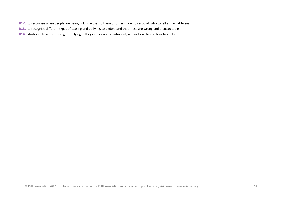- **R12.** to recognise when people are being unkind either to them or others, how to respond, who to tell and what to say
- **R13.** to recognise different types of teasing and bullying, to understand that these are wrong and unacceptable
- **R14.** strategies to resist teasing or bullying, if they experience or witness it, whom to go to and how to get help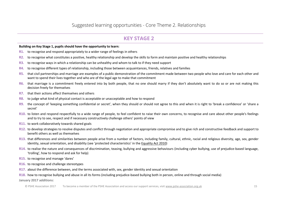**Building on Key Stage 1, pupils should have the opportunity to learn:** 

- **R1.** to recognise and respond appropriately to a wider range of feelings in others
- **R2.** to recognise what constitutes a positive, healthy relationship and develop the skills to form and maintain positive and healthy relationships
- **R3.** to recognise ways in which a relationship can be unhealthy and whom to talk to if they need support
- **R4.** to recognise different types of relationship, including those between acquaintances, friends, relatives and families
- **R5.** that civil partnerships and marriage are examples of a public demonstration of the commitment made between two people who love and care for each other and want to spend their lives together and who are of the legal age to make that commitment
- **R6.** that marriage is a commitment freely entered into by both people, that no one should marry if they don't absolutely want to do so or are not making this decision freely for themselves
- **R7.** that their actions affect themselves and others
- **R8.** to judge what kind of physical contact is acceptable or unacceptable and how to respond
- **R9.** the concept of 'keeping something confidential or secret', when they should or should not agree to this and when it is right to 'break a confidence' or 'share a secret'
- **R10.** to listen and respond respectfully to a wide range of people, to feel confident to raise their own concerns, to recognise and care about other people's feelings and to try to see, respect and if necessary constructively challenge others' points of yiew
- **R11.** to work collaboratively towards shared goals
- **R12.** to develop strategies to resolve disputes and conflict through negotiation and appropriate compromise and to give rich and constructive feedback and support to benefit others as well as themselves
- **R13.** that differences and similarities between people arise from a number of factors, including family, cultural, ethnic, racial and religious diversity, age, sex, gender identity, sexual orientation, and disability (see 'protected characteristics' in the [Equality Act 2010\)](https://www.gov.uk/guidance/equality-act-2010-guidance)
- **R14.** to realise the nature and consequences of discrimination, teasing, bullying and aggressive behaviours (including cyber bullying, use of prejudice-based language, 'trolling', how to respond and ask for help)
- **R15.** to recognise and manage 'dares'
- **R16.** to recognise and challenge stereotypes
- **R17.** about the difference between, and the terms associated with, sex, gender identity and sexual orientation

#### **R18.** how to recognise bullying and abuse in all its forms (including prejudice-based bullying both in person, online and through social media)

**January 2017 additions:**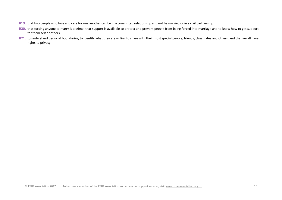- **R19.** that two people who love and care for one another can be in a committed relationship and not be married or in a civil partnership
- **R20.** that forcing anyone to marry is a crime; that support is available to protect and prevent people from being forced into marriage and to know how to get support for them self or others
- R21. to understand personal boundaries; to identify what they are willing to share with their most special people; friends; classmates and others; and that we all have rights to privacy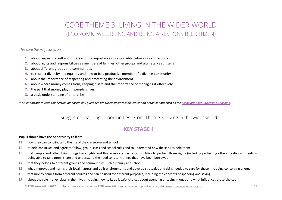## CORE THEME 3: LIVING IN THE WIDER WORLD (ECONOMIC WELLBEING AND BEING A RESPONSIBLE CITIZEN)

#### <span id="page-17-0"></span>*This core theme focuses on:*

- **1.** about respect for self and others and the importance of responsible behaviours and actions
- **2.** about rights and responsibilities as members of families, other groups and ultimately as citizens
- **3.** about different groups and communities
- **4.** to respect diversity and equality and how to be a productive member of a diverse community
- **5.** about the importance of respecting and protecting the environment
- **6.** about where money comes from, keeping it safe and the importance of managing it effectively
- **7.** the part that money plays in people's lives
- **8.** a basic understanding of enterprise

*\*It is important to read this section alongside any guidance produced by citizenship education organisations such as th[e Association for Citizenship Teaching.](http://www.teachingcitizenship.org.uk/)*

## Suggested learning opportunities - Core Theme 3. Living in the wider world

## **KEY STAGE 1**

#### **Pupils should have the opportunity to learn:**

- **L1.** how they can contribute to the life of the classroom and school
- **L2.** to help construct, and agree to follow, group, class and school rules and to understand how these rules help them
- L3. that people and other living things have rights and that everyone has responsibilities to protect those rights (including protecting others' bodies and feelings; being able to take turns, share and understand the need to return things that have been borrowed)
- **L4.** that they belong to different groups and communities such as family and school
- **L5.** what improves and harms their local, natural and built environments and develop strategies and skills needed to care for these (including conserving energy)
- **L6.** that money comes from different sources and can be used for different purposes, including the concepts of spending and saving
- **L7.** about the role money plays in their lives including how to keep it safe, choices about spending or saving money and what influences those choices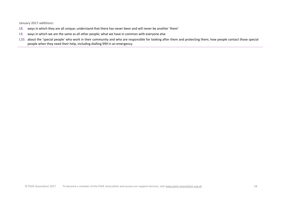January 2017 additions:

- ways in which they are all unique; understand that there has never been and will never be another 'them' **L8.**
- L9. ways in which we are the same as all other people; what we have in common with everyone else
- L10. about the 'special people' who work in their community and who are responsible for looking after them and protecting them; how people contact those special people when they need their help, including dialling 999 in an emergency.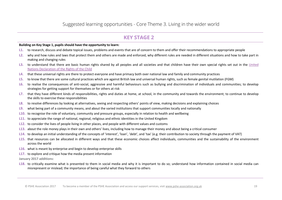### **KFY STAGF 2**

#### Building on Key Stage 1, pupils should have the opportunity to learn:

- L1. to research, discuss and debate topical issues, problems and events that are of concern to them and offer their recommendations to appropriate people
- L2. why and how rules and laws that protect them and others are made and enforced, why different rules are needed in different situations and how to take part in making and changing rules
- L3. to understand that there are basic human rights shared by all peoples and all societies and that children have their own special rights set out in the United Nations Declaration of the Rights of the Child
- L4. that these universal rights are there to protect everyone and have primacy both over national law and family and community practices
- L5. to know that there are some cultural practices which are against British law and universal human rights, such as female genital mutilation (FGM)
- L6. to realise the consequences of anti-social, aggressive and harmful behaviours such as bullying and discrimination of individuals and communities; to develop strategies for getting support for themselves or for others at risk
- L7. that they have different kinds of responsibilities, rights and duties at home, at school, in the community and towards the environment; to continue to develop the skills to exercise these responsibilities
- L8. to resolve differences by looking at alternatives, seeing and respecting others' points of view, making decisions and explaining choices
- L9. what being part of a community means, and about the varied institutions that support communities locally and nationally
- L10. to recognise the role of voluntary, community and pressure groups, especially in relation to health and wellbeing
- L11. to appreciate the range of national, regional, religious and ethnic identities in the United Kingdom
- L12. to consider the lives of people living in other places, and people with different values and customs
- L13. about the role money plays in their own and others' lives, including how to manage their money and about being a critical consumer
- L14. to develop an initial understanding of the concepts of 'interest', 'loan', 'debt', and 'tax' (e.g. their contribution to society through the payment of VAT)
- L15. that resources can be allocated in different ways and that these economic choices affect individuals, communities and the sustainability of the environment across the world
- L16. what is meant by enterprise and begin to develop enterprise skills
- **L17.** to explore and critique how the media present information
- January 2017 additions:
- L18. to critically examine what is presented to them in social media and why it is important to do so; understand how information contained in social media can misrepresent or mislead; the importance of being careful what they forward to others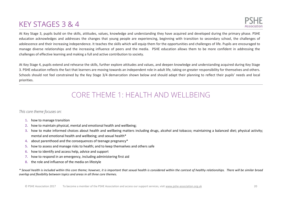## <span id="page-20-0"></span>KEY STAGES 3 & 4

At Key Stage 3, pupils build on the skills, attitudes, values, knowledge and understanding they have acquired and developed during the primary phase. PSHE education acknowledges and addresses the changes that young people are experiencing, beginning with transition to secondary school, the challenges of adolescence and their increasing independence. It teaches the skills which will equip them for the opportunities and challenges of life. Pupils are encouraged to manage diverse relationships and the increasing influence of peers and the media. PSHE education allows them to be more confident in addressing the challenges of effective learning and making a full and active contribution to society.

At Key Stage 4, pupils extend and rehearse the skills, further explore attitudes and values, and deepen knowledge and understanding acquired during Key Stage 3. PSHE education reflects the fact that learners are moving towards an independent role in adult life, taking on greater responsibility for themselves and others. Schools should not feel constrained by the Key Stage 3/4 demarcation shown below and should adapt their planning to reflect their pupils' needs and local priorities.

## CORE THEME 1: HEALTH AND WELLBEING

#### <span id="page-20-1"></span>*This core theme focuses on:*

- **1.** how to manage transition
- **2.** how to maintain physical, mental and emotional health and wellbeing;
- **3.** how to make informed choices about health and wellbeing matters including drugs, alcohol and tobacco; maintaining a balanced diet; physical activity; mental and emotional health and wellbeing; and sexual health\*
- **4.** about parenthood and the consequences of teenage pregnancy\*
- **5.** how to assess and manage risks to health; and to keep themselves and others safe
- **6.** how to identify and access help, advice and support
- **7.** how to respond in an emergency, including administering first aid
- **8.** the role and influence of the media on lifestyle

*\* Sexual health is included within this core theme; however, it is important that sexual health is considered within the context of healthy relationships. There will be similar broad overlap and flexibility between topics and areas in all three core themes.*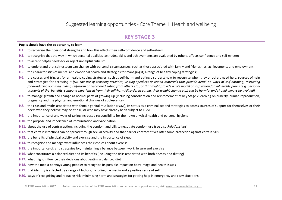#### **Pupils should have the opportunity to learn:**

- **H1.** to recognise their personal strengths and how this affects their self-confidence and self-esteem
- **H2.** to recognise that the way in which personal qualities, attitudes, skills and achievements are evaluated by others, affects confidence and self-esteem
- **H3.** to accept helpful feedback or reject unhelpful criticism
- **H4.** to understand that self-esteem can change with personal circumstances, such as those associated with family and friendships, achievements and employment
- **H5.** the characteristics of mental and emotional health and strategies for managing it; a range of healthy coping strategies;
- **H6.** the causes and triggers for unhealthy coping strategies, such as self-harm and eating disorders; how to recognise when they or others need help, sources of help and strategies for accessing it *[NB The use of teaching activities, visiting speakers or lesson materials that provide detail on ways of self-harming, restricting food/inducing vomiting, hiding self-harm or disordered eating from others etc., or that might provide a role model or inspiration for vulnerable pupils (e.g. personal*  accounts of the 'benefits' someone experienced from their self-harm/disordered eating, their weight change etc.) can be harmful and should always be avoided]
- **H7.** to manage growth and change as normal parts of growing up (including consolidation and reinforcement of Key Stage 2 learning on puberty, human reproduction, pregnancy and the physical and emotional changes of adolescence)
- H8. the risks and myths associated with female genital mutilation (FGM), its status as a criminal act and strategies to access sources of support for themselves or their peers who they believe may be at risk, or who may have already been subject to FGM
- **H9.** the importance of and ways of taking increased responsibility for their own physical health and personal hygiene
- **H10.** the purpose and importance of immunisation and vaccination
- **H11.** about the use of contraception, including the condom and pill; to negotiate condom use (see also *Relationships*)
- **H12.** that certain infections can be spread through sexual activity and that barrier contraceptives offer some protection against certain STIs
- **H13.** the benefits of physical activity and exercise and the importance of sleep
- **H14.** to recognise and manage what influences their choices about exercise
- **H15.** the importance of, and strategies for, maintaining a balance between work, leisure and exercise
- **H16.** what constitutes a balanced diet and its benefits (including the risks associated with both obesity and dieting)
- **H17.** what might influence their decisions about eating a balanced diet
- **H18.** how the media portrays young people; to recognise its possible impact on body image and health issues
- **H19.** that identity is affected by a range of factors, including the media and a positive sense of self
- **H20.** ways of recognising and reducing risk, minimising harm and strategies for getting help in emergency and risky situations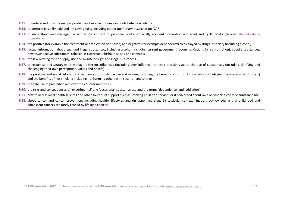- **H21.** to understand how the inappropriate use of mobile phones can contribute to accidents
- **H22.** to perform basic first aid and life-saving skills, including cardio-pulmonary resuscitation (CPR)
- H23. to understand and manage risk within the context of personal safety, especially accident prevention and road and cycle safety (through the Bikeability [programme\)](https://bikeability.dft.gov.uk/)
- **H24.** the positive (for example the treatment or eradication of disease) and negative (for example dependency) roles played by drugs in society (including alcohol)
- **H25.** factual information about legal and illegal substances, including alcohol (including current government recommendations for consumption), volatile substances, new psychoactive substances, tobacco, e-cigarettes, shisha, e-shisha and cannabis
- **H26.** the law relating to the supply, use and misuse of legal and illegal substances
- **H27.** to recognise and strategies to manage different influences (including peer influence) on their decisions about the use of substances, (including clarifying and challenging their own perceptions, values and beliefs)
- **H28.** the personal and social risks and consequences of substance use and misuse, including the benefits of not drinking alcohol (or delaying the age at which to start) and the benefits of not smoking including not harming others with second-hand smoke
- **H29.** the safe use of prescribed and over the counter medicines
- H30. the risks and consequences of 'experimental' and 'occasional' substance use and the terms 'dependence' and 'addiction'
- H31. how to access local health services and other sources of support such as smoking cessation services or if concerned about own or others' alcohol or substance use
- **H32.** about cancer and cancer prevention, including healthy lifestyles and (in upper key stage 3) testicular self-examination, acknowledging that childhood and adolescent cancers are rarely caused by lifestyle choices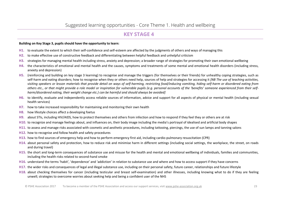#### Building on Key Stage 3, pupils should have the opportunity to learn:

- H1. to evaluate the extent to which their self-confidence and self-esteem are affected by the judgments of others and ways of managing this
- H<sub>2</sub>. to make effective use of constructive feedback and differentiating between helpful feedback and unhelpful criticism
- H3. strategies for managing mental health including stress, anxiety and depression; a broader range of strategies for promoting their own emotional wellbeing
- H4. the characteristics of emotional and mental health and the causes, symptoms and treatments of some mental and emotional health disorders (including stress, anxiety and depression)
- H5. (reinforcing and building on key stage 3 learning) to recognise and manage the triggers (for themselves or their friends) for unhealthy coping strategies, such as self-harm and eating disorders; how to recognise when they or others need help, sources of help and strategies for accessing it [NB The use of teaching activities, visiting speakers or lesson materials that provide detail on ways of self-harming, restricting food/inducing vomiting, hiding self-harm or disordered eating from others etc., or that might provide a role model or inspiration for vulnerable pupils (e.g. personal accounts of the 'benefits' someone experienced from their selfharm/disordered eating, their weight change etc.) can be harmful and should always be avoided]
- H6. to identify, evaluate and independently access reliable sources of information, advice and support for all aspects of physical or mental health (including sexual health services)
- H7. how to take increased responsibility for maintaining and monitoring their own health
- H8. how lifestyle choices affect a developing foetus
- H9. about STIs, including HIV/AIDS, how to protect themselves and others from infection and how to respond if they feel they or others are at risk
- H10. to recognize and manage feelings about, and influences on, their body image including the media's portrayal of idealised and artificial body shapes
- H11, to assess and manage risks associated with cosmetic and aesthetic procedures, including tattooing, piercings, the use of sun lamps and tanning salons
- H<sub>12</sub>. how to recognise and follow health and safety procedures
- H13. how to find sources of emergency help and how to perform emergency first aid, including cardio-pulmonary resuscitation (CPR)
- H14. about personal safety and protection, how to reduce risk and minimise harm in different settings (including social settings, the workplace, the street, on roads and during travel)
- H<sub>15</sub>. the short and long-term consequences of substance use and misuse for the health and mental and emotional wellbeing of individuals, families and communities, including the health risks related to second-hand smoke
- H16. understand the terms 'habit', 'dependence' and 'addiction' in relation to substance use and where and how to access support if they have concerns
- H17, the wider risks and consequences of legal and illegal substance use, including on their personal safety, future career, relationships and future lifestyle
- H18, about checking themselves for cancer (including testicular and breast self-examination) and other illnesses, including knowing what to do if they are feeling unwell; strategies to overcome worries about seeking help and being a confident user of the NHS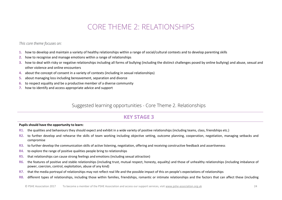## **CORE THEME 2: RELATIONSHIPS**

<span id="page-24-0"></span>This core theme focuses on:

- 1. how to develop and maintain a variety of healthy relationships within a range of social/cultural contexts and to develop parenting skills
- 2. how to recognise and manage emotions within a range of relationships
- 3. how to deal with risky or negative relationships including all forms of bullying (including the distinct challenges posed by online bullying) and abuse, sexual and other violence and online encounters
- 4. about the concept of consent in a variety of contexts (including in sexual relationships)
- about managing loss including bereavement, separation and divorce 5.
- to respect equality and be a productive member of a diverse community 6.
- 7. how to identify and access appropriate advice and support

### Suggested learning opportunities - Core Theme 2. Relationships

## **KEY STAGE 3**

#### Pupils should have the opportunity to learn:

- R1. the qualities and behaviours they should expect and exhibit in a wide variety of positive relationships (including teams, class, friendships etc.)
- R2. to further develop and rehearse the skills of team working including objective setting, outcome planning, cooperation, negotiation, managing setbacks and compromise
- R3. to further develop the communication skills of active listening, negotiation, offering and receiving constructive feedback and assertiveness
- to explore the range of positive qualities people bring to relationships **R4.**
- R5. that relationships can cause strong feelings and emotions (including sexual attraction)
- R6. the features of positive and stable relationships (including trust, mutual respect, honesty, equality) and those of unhealthy relationships (including imbalance of power, coercion, control, exploitation, abuse of any kind)
- R7. that the media portrayal of relationships may not reflect real life and the possible impact of this on people's expectations of relationships
- **R**<sub>8</sub> different types of relationships, including those within families, friendships, romantic or intimate relationships and the factors that can affect these (including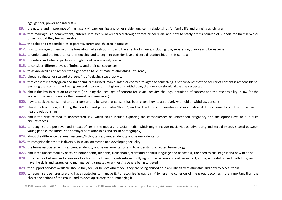age, gender, power and interests)

- **R9.** the nature and importance of marriage, civil partnerships and other stable, long-term relationships for family life and bringing up children
- **R10.** that marriage is a commitment, entered into freely, never forced through threat or coercion, and how to safely access sources of support for themselves or others should they feel vulnerable
- **R11.** the roles and responsibilities of parents, carers and children in families
- **R12.** how to manage or deal with the breakdown of a relationship and the effects of change, including loss, separation, divorce and bereavement
- **R13.** to understand the importance of friendship and to begin to consider love and sexual relationships in this context
- **R14.** to understand what expectations might be of having a girl/boyfriend
- **R15.** to consider different levels of intimacy and their consequences
- **R16.** to acknowledge and respect the right not to have intimate relationships until ready
- **R17.** about readiness for sex and the benefits of delaying sexual activity
- **R18.** that consent is freely given and that being pressurised, manipulated or coerced to agree to something is not consent; that the seeker of consent is responsible for ensuring that consent has been given and if consent is not given or is withdrawn, that decision should always be respected
- R19. about the law in relation to consent (including the legal age of consent for sexual activity, the legal definition of consent and the responsibility in law for the seeker of consent to ensure that consent has been given)
- **R20.** how to seek the consent of another person and be sure that consent has been given; how to assertively withhold or withdraw consent
- **R21.** about contraception, including the condom and pill (see also 'Health') and to develop communication and negotiation skills necessary for contraceptive use in healthy relationships
- **R22.** about the risks related to unprotected sex, which could include exploring the consequences of unintended pregnancy and the options available in such circumstances
- **R23.** to recognise the portrayal and impact of sex in the media and social media (which might include music videos, advertising and sexual images shared between young people, the unrealistic portrayal of relationships and sex in pornography)
- **R24.** about the difference between assigned/biological sex, gender identity and sexual orientation
- **R25.** to recognise that there is diversity in sexual attraction and developing sexuality
- **R26.** the terms associated with sex, gender identity and sexual orientation and to understand accepted terminology
- **R27.** about the unacceptability of sexist, homophobic, biphobic, transphobic, racist and disablist language and behaviour, the need to challenge it and how to do so
- **R28.** to recognise bullying and abuse in all its forms (including prejudice-based bullying both in person and online/via text, abuse, exploitation and trafficking) and to have the skills and strategies to manage being targeted or witnessing others being targeted
- **R29.** the support services available should they feel, or believe others feel, they are being abused or in an unhealthy relationship and how to access them
- R30. to recognise peer pressure and have strategies to manage it; to recognise 'group think' (where the cohesion of the group becomes more important than the choices or actions of the group) and to develop strategies for managing it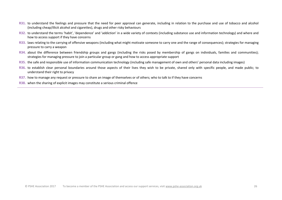- **R31.** to understand the feelings and pressure that the need for peer approval can generate, including in relation to the purchase and use of tobacco and alcohol (including cheap/illicit alcohol and cigarettes), drugs and other risky behaviours
- R32. to understand the terms 'habit', 'dependence' and 'addiction' in a wide variety of contexts (including substance use and information technology) and where and how to access support if they have concerns
- **R33.** laws relating to the carrying of offensive weapons (including what might motivate someone to carry one and the range of consequences); strategies for managing pressure to carry a weapon
- **R34.** about the difference between friendship groups and gangs (including the risks posed by membership of gangs on individuals, families and communities); strategies for managing pressure to join a particular group or gang and how to access appropriate support
- R35. the safe and responsible use of information communication technology (including safe management of own and others' personal data including images)
- **R36.** to establish clear personal boundaries around those aspects of their lives they wish to be private, shared only with specific people, and made public; to understand their right to privacy
- **R37.** how to manage any request or pressure to share an image of themselves or of others; who to talk to if they have concerns
- **R38.** when the sharing of explicit images may constitute a serious criminal offence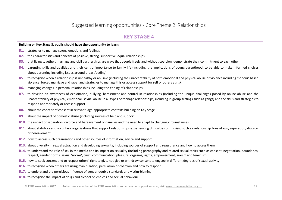Building on Key Stage 3, pupils should have the opportunity to learn:

- **R1.** strategies to manage strong emotions and feelings
- R2. the characteristics and benefits of positive, strong, supportive, equal relationships
- R3. that living together, marriage and civil partnerships are ways that people freely and without coercion, demonstrate their commitment to each other
- R4. parenting skills and qualities and their central importance to family life (including the implications of young parenthood; to be able to make informed choices about parenting including issues around breastfeeding)
- R5. to recognise when a relationship is unhealthy or abusive (including the unacceptability of both emotional and physical abuse or violence including 'honour' based violence, forced marriage and rape) and strategies to manage this or access support for self or others at risk.
- R6. managing changes in personal relationships including the ending of relationships
- R7. to develop an awareness of exploitation, bullying, harassment and control in relationships (including the unique challenges posed by online abuse and the unacceptability of physical, emotional, sexual abuse in all types of teenage relationships, including in group settings such as gangs) and the skills and strategies to respond appropriately or access support
- R8. about the concept of consent in relevant, age-appropriate contexts building on Key Stage 3
- R9. about the impact of domestic abuse (including sources of help and support)
- R10. the impact of separation, divorce and bereavement on families and the need to adapt to changing circumstances
- R11. about statutory and voluntary organisations that support relationships experiencing difficulties or in crisis, such as relationship breakdown, separation, divorce, or bereavement
- R12. how to access such organisations and other sources of information, advice and support
- R13. about diversity in sexual attraction and developing sexuality, including sources of support and reassurance and how to access them
- R14. to understand the role of sex in the media and its impact on sexuality (including pornography and related sexual ethics such as consent, negotiation, boundaries, respect, gender norms, sexual 'norms', trust, communication, pleasure, orgasms, rights, empowerment, sexism and feminism)
- R15. how to seek consent and to respect others' right to give, not give or withdraw consent to engage in different degrees of sexual activity
- R16. to recognise when others are using manipulation, persuasion or coercion and how to respond
- R17. to understand the pernicious influence of gender double standards and victim-blaming
- R18. to recognise the impact of drugs and alcohol on choices and sexual behaviour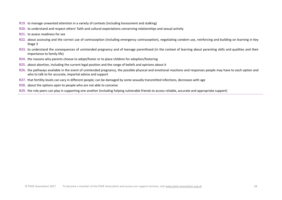- **R19.** to manage unwanted attention in a variety of contexts (including harassment and stalking)
- **R20.** to understand and respect others' faith and cultural expectations concerning relationships and sexual activity
- **R21.** to assess readiness for sex
- **R22.** about accessing and the correct use of contraception (including emergency contraception), negotiating condom use, reinforcing and building on learning in Key Stage 3
- R23. to understand the consequences of unintended pregnancy and of teenage parenthood (in the context of learning about parenting skills and qualities and their importance to family life)
- **R24.** the reasons why parents choose to adopt/foster or to place children for adoption/fostering
- **R25.** about abortion, including the current legal position and the range of beliefs and opinions about it
- **R26.** the pathways available in the event of unintended pregnancy, the possible physical and emotional reactions and responses people may have to each option and who to talk to for accurate, impartial advice and support
- **R27.** that fertility levels can vary in different people; can be damaged by some sexually transmitted infections, decreases with age
- **R28.** about the options open to people who are not able to conceive
- **R29.** the role peers can play in supporting one another (including helping vulnerable friends to access reliable, accurate and appropriate support)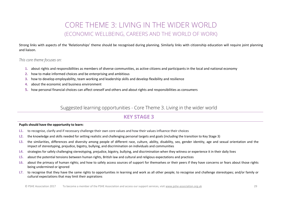## **CORE THEME 3: LIVING IN THE WIDER WORLD** (ECONOMIC WELLBEING, CAREERS AND THE WORLD OF WORK)

Strong links with aspects of the 'Relationships' theme should be recognised during planning. Similarly links with citizenship education will require joint planning and liaison.

#### <span id="page-29-0"></span>This core theme focuses on:

- 1. about rights and responsibilities as members of diverse communities, as active citizens and participants in the local and national economy
- 2. how to make informed choices and be enterprising and ambitious
- 3. how to develop employability, team working and leadership skills and develop flexibility and resilience
- about the economic and business environment  $\mathbf{A}$
- 5. how personal financial choices can affect oneself and others and about rights and responsibilities as consumers

### Suggested learning opportunities - Core Theme 3. Living in the wider world

### **KEY STAGE 3**

#### Pupils should have the opportunity to learn:

- to recognise, clarify and if necessary challenge their own core values and how their values influence their choices  $L1.$
- the knowledge and skills needed for setting realistic and challenging personal targets and goals (including the transition to Key Stage 3)  $L2.$
- $L3.$ the similarities, differences and diversity among people of different race, culture, ability, disability, sex, gender identity, age and sexual orientation and the impact of stereotyping, prejudice, bigotry, bullying, and discrimination on individuals and communities
- L4. strategies for safely challenging stereotyping, prejudice, bigotry, bullying, and discrimination when they witness or experience it in their daily lives
- about the potential tensions between human rights, British law and cultural and religious expectations and practices  $L5.$
- L6. about the primacy of human rights; and how to safely access sources of support for themselves or their peers if they have concerns or fears about those rights being undermined or ignored
- L7. to recognise that they have the same rights to opportunities in learning and work as all other people; to recognise and challenge stereotypes; and/or family or cultural expectations that may limit their aspirations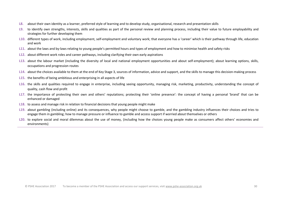- L8. about their own identity as a learner, preferred style of learning and to develop study, organisational, research and presentation skills
- L9. to identify own strengths, interests, skills and qualities as part of the personal review and planning process, including their value to future employability and strategies for further developing them
- L10. different types of work, including employment, self-employment and voluntary work; that everyone has a 'career' which is their pathway through life, education and work
- L11. about the laws and by-laws relating to young people's permitted hours and types of employment and how to minimise health and safety risks
- L12. about different work roles and career pathways, including clarifying their own early aspirations
- L13. about the labour market (including the diversity of local and national employment opportunities and about self-employment); about learning options, skills, occupations and progression routes
- L14. about the choices available to them at the end of Key Stage 3, sources of information, advice and support, and the skills to manage this decision-making process
- **L15.** the benefits of being ambitious and enterprising in all aspects of life
- L16, the skills and qualities required to engage in enterprise, including seeing opportunity, managing risk, marketing, productivity, understanding the concept of quality, cash flow and profit
- L17. the importance of protecting their own and others' reputations; protecting their 'online presence': the concept of having a personal 'brand' that can be enhanced or damaged
- L18. to assess and manage risk in relation to financial decisions that young people might make
- L19. about gambling (including online) and its consequences, why people might choose to gamble, and the gambling industry influences their choices and tries to engage them in gambling; how to manage pressure or influence to gamble and access support if worried about themselves or others
- L20. to explore social and moral dilemmas about the use of money, (including how the choices young people make as consumers affect others' economies and environments)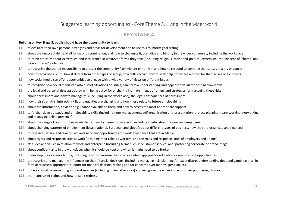#### **Building on Key Stage 3, pupils should have the opportunity to learn:**

- **L1.** to evaluate their own personal strengths and areas for development and to use this to inform goal setting
- **L2.** about the unacceptability of all forms of discrimination, and how to challenge it, prejudice and bigotry in the wider community including the workplace
- L3. to think critically about extremism and intolerance in whatever forms they take (including religious, racist and political extremism, the concept of 'shame' and 'honour based' violence)
- **L4.** to recognise the shared responsibility to protect the community from violent extremism and how to respond to anything that causes anxiety or concern
- L5. how to recognise a 'cult'; how it differs from other types of group; how cults recruit; how to seek help if they are worried for themselves or for others
- **L6.** how social media can offer opportunities to engage with a wide variety of views on different issues
- **L7.** to recognise how social media can also distort situations or issues; can narrow understanding and appear to validate these narrow views
- **L8.** the legal and personal risks associated with being asked for or sharing intimate images of others and strategies for managing these risks
- **L9.** about harassment and how to manage this (including in the workplace); the legal consequences of harassment
- **L10.** how their strengths, interests, skills and qualities are changing and how these relate to future employability
- **L11.** about the information, advice and guidance available to them and how to access the most appropriate support
- **L12.** to further develop study and employability skills (including time management, self-organisation and presentation, project planning, team-working, networking and managing online presence)
- **L13.** about the range of opportunities available to them for career progression, including in education, training and employment
- **L14.** about changing patterns of employment (local, national, European and global); about different types of business, how they are organised and financed
- **L15.** to research, secure and take full advantage of any opportunities for work experience that are available
- L16. about rights and responsibilities at work (including their roles as workers, and the roles and responsibilities of employers and unions)
- L17. attitudes and values in relation to work and enterprise (including terms such as 'customer service' and 'protecting corporate or brand image')
- **L18.** about confidentiality in the workplace, when it should be kept and when it might need to be broken
- **L19.** to develop their career identity, including how to maximise their chances when applying for education or employment opportunities
- **L20.** to recognise and manage the influences on their financial decisions, (including managing risk, planning for expenditure, understanding debt and gambling in all its forms); to access appropriate support for financial decision-making and for concerns over money, gambling etc.
- **L21.** to be a critical consumer of goods and services (including financial services) and recognise the wider impact of their purchasing choices
- **L22.** their consumer rights and how to seek redress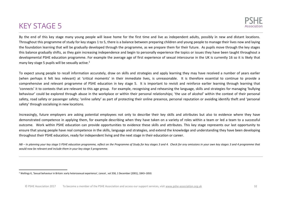

<span id="page-32-0"></span>By the end of this key stage many young people will leave home for the first time and live as independent adults, possibly in new and distant locations. Throughout this programme of study for key stages 1 to 5, there is a balance between preparing children and young people to manage their lives now and laying the foundation learning that will be gradually developed through the programme, as we prepare them for their future. As pupils move through the key stages this balance gradually shifts, as they gain increasing independence and begin to personally experience the topics or issues they have been taught throughout a developmental PSHE education programme. For example the average age of first experience of sexual intercourse in the UK is currently 16 so it is likely that many key stage 5 pupils will be sexually active.<sup>2</sup>

To expect young people to recall information accurately, draw on skills and strategies and apply learning they may have received a number of years earlier (when perhaps it felt less relevant) at 'critical moments' in their immediate lives, is unreasonable. It is therefore essential to continue to provide a comprehensive and relevant programme of PSHE education in key stage 5. It is important to revisit and reinforce earlier learning through learning that 'connects' it to contexts that are relevant to this age group. For example, recognising and rehearsing the language, skills and strategies for managing 'bullying behaviour' could be explored through abuse in the workplace or within their personal relationships; 'the use of alcohol' within the context of their personal safety, road safety or passenger safety: 'online safety' as part of protecting their online presence, personal reputation or avoiding identify theft and 'personal safety' through socialising in new locations.

Increasingly, future employers are asking potential employees not only to describe their key skills and attributes but also to evidence where they have demonstrated competence in applying them, for example describing when they have taken on a variety of roles within a team or led a team to a successful outcome. Work within PSHE education can provide opportunities to evidence these skills and attributes. This key stage represents our last opportunity to ensure that young people have real competence in the skills, language and strategies, and extend the knowledge and understanding they have been developing throughout their PSHE education, ready for independent living and the next stage in their education or career.

NB – In planning your key stage 5 PSHE education programme, reflect on the Programme of Study for key stages 3 and 4. Check for any omissions in your own key stages 3 and 4 programme that would now be relevant and include them in your key stage 5 programme.

<sup>&</sup>lt;sup>2</sup> Wellings K, 'Sexual behaviour in Britain: early heterosexual experience', Lancet, vol 358, 1 December (2001), 1843-1850.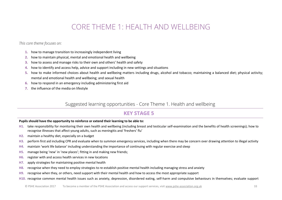## CORE THEME 1: HEALTH AND WELLBEING

<span id="page-33-0"></span>*This core theme focuses on:* 

- **1.** how to manage transition to increasingly independent living
- **2.** how to maintain physical, mental and emotional health and wellbeing
- **3.** how to assess and manage risks to their own and others' health and safety
- **4.** how to identify and access help, advice and support including in new settings and situations
- **5.** how to make informed choices about health and wellbeing matters including drugs, alcohol and tobacco; maintaining a balanced diet; physical activity; mental and emotional health and wellbeing; and sexual health
- **6.** how to respond in an emergency including administering first aid
- **7.** the influence of the media on lifestyle

### Suggested learning opportunities - Core Theme 1. Health and wellbeing

## **KEY STAGE 5**

#### **Pupils should have the opportunity to reinforce or extend their learning to be able to:**

- **H1.** take responsibility for monitoring their own health and wellbeing (including breast and testicular self-examination and the benefits of health screenings); how to recognise illnesses that affect young adults, such as meningitis and 'freshers' flu'
- **H2.** maintain a healthy diet, especially on a budget
- **H3.** perform first aid including CPR and evaluate when to summon emergency services, including when there may be concern over drawing attention to illegal activity
- **H4.** maintain 'work life balance' including understanding the importance of continuing with regular exercise and sleep
- H5. manage being 'new' in 'new places'; fitting in and making new friends;
- **H6.** register with and access health services in new locations
- **H7.** apply strategies for maintaining positive mental health
- **H8.** recognise when they need to employ strategies to re-establish positive mental health including managing stress and anxiety
- **H9.** recognise when they, or others, need support with their mental health and how to access the most appropriate support
- **H10.** recognise common mental health issues such as anxiety, depression, disordered eating, self-harm and compulsive behaviours in themselves; evaluate support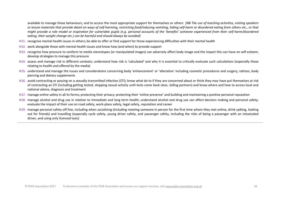available to manage these behaviours, and to access the most appropriate support for themselves or others *[NB The use of teaching activities, visiting speakers* or lesson materials that provide detail on ways of self-harming, restricting food/inducing vomiting, hiding self-harm or disordered eating from others etc., or that might provide a role model or inspiration for vulnerable pupils (e.g. personal accounts of the 'benefits' someone experienced from their self-harm/disordered eating, their weight change etc.) can be harmful and should glways be avoided

- H11. recognise mental health issues in others: be able to offer or find support for those experiencing difficulties with their mental health
- H12. work alongside those with mental health issues and know how (and when) to provide support
- H13. recognise how pressure to conform to media stereotypes (or manipulated images) can adversely affect body image and the impact this can have on self-esteem; develop strategies to manage this pressure
- H14. assess and manage risk in different contexts; understand how risk is 'calculated' and why it is essential to critically evaluate such calculations (especially those relating to health and offered by the media)
- H15. understand and manage the issues and considerations concerning body 'enhancement' or 'alteration' including cosmetic procedures and surgery, tattoos, body piercing and dietary supplements
- H<sub>16</sub>, avoid contracting or passing on a sexually transmitted infection (STI): know what do to if they are concerned about or think they may have put themselves at risk of contracting an STI (including getting tested, stopping sexual activity until tests come back clear, telling partners) and know where and how to access local and national advice, diagnosis and treatment
- H17. manage online safety in all its forms; protecting their privacy; protecting their 'online presence' and building and maintaining a positive personal reputation
- H18. manage alcohol and drug use in relation to immediate and long term health; understand alcohol and drug use can affect decision making and personal safety; evaluate the impact of their use on road safety, work-place safety, legal safety, reputation and career
- H<sub>19</sub>, manage personal safety off-line, including when socialising (including meeting someone in person for the first time whom they met online, drink spiking, looking out for friends) and travelling (especially cycle safety, young driver safety, and passenger safety, including the risks of being a passenger with an intoxicated driver, and using only licenced taxis)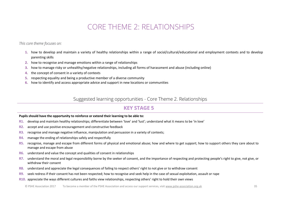## CORE THEME 2: RELATIONSHIPS

<span id="page-35-0"></span>*This core theme focuses on:* 

- **1.** how to develop and maintain a variety of healthy relationships within a range of social/cultural/educational and employment contexts and to develop parenting skills
- **2.** how to recognise and manage emotions within a range of relationships
- **3.** how to manage risky or unhealthy/negative relationships, including all forms of harassment and abuse (including online)
- **4.** the concept of consent in a variety of contexts
- **5.** respecting equality and being a productive member of a diverse community
- **6.** how to identify and access appropriate advice and support in new locations or communities

Suggested learning opportunities - Core Theme 2. Relationships

### **KEY STAGE 5**

#### **Pupils should have the opportunity to reinforce or extend their learning to be able to:**

- R1. develop and maintain healthy relationships; differentiate between 'love' and 'lust'; understand what it means to be 'in love'
- **R2.** accept and use positive encouragement and constructive feedback
- **R3.** recognise and manage negative influence, manipulation and persuasion in a variety of contexts;
- **R4.** manage the ending of relationships safely and respectfully
- **R5.** recognise, manage and escape from different forms of physical and emotional abuse; how and where to get support; how to support others they care about to manage and escape from abuse
- **R6.** understand and value the concept and qualities of consent in relationships
- **R7.** understand the moral and legal responsibility borne by the seeker of consent, and the importance of respecting and protecting people's right to give, not give, or withdraw their consent
- **R8.** understand and appreciate the legal consequences of failing to respect others' right to not give or to withdraw consent
- **R9.** seek redress if their consent has not been respected; how to recognise and seek help in the case of sexual exploitation, assault or rape
- **R10.** appreciate the ways different cultures and faiths view relationships, respecting others' right to hold their own views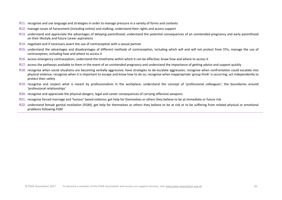- **R11.** recognise and use language and strategies in order to manage pressure in a variety of forms and contexts
- **R12.** manage issues of harassment (including online) and stalking; understand their rights and access support
- **R13.** understand and appreciate the advantages of delaying parenthood; understand the potential consequences of an unintended pregnancy and early parenthood on their lifestyle and future career aspirations
- **R14.** negotiate and if necessary assert the use of contraception with a sexual partner
- **R15.** understand the advantages and disadvantages of different methods of contraception, including which will and will not protect from STIs; manage the use of contraception, including how and where to access it
- **R16.** access emergency contraception; understand the timeframe within which it can be effective; know how and where to access it
- **R17.** access the pathways available to them in the event of an unintended pregnancy and understand the importance of getting advice and support quickly
- **R18.** recognise when social situations are becoming verbally aggressive; have strategies to de-escalate aggression; recognise when confrontation could escalate into physical violence; recognise when it is important to escape and know how to do so; recognise when inappropriate 'group think' is occurring; act independently to protect their safety
- R19. recognise and respect what is meant by professionalism in the workplace; understand the concept of 'professional colleagues'; the boundaries around 'professional relationships'
- **R20.** recognise and appreciate the physical dangers, legal and career consequences of carrying offensive weapons
- **R21.** recognise forced marriage and 'honour' based violence; get help for themselves or others they believe to be at immediate or future risk
- **R22.** understand female genital mutilation (FGM); get help for themselves or others they believe to be at risk or to be suffering from related physical or emotional problems following FGM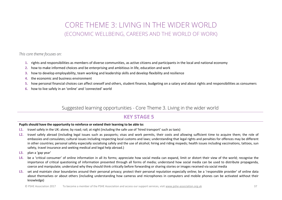## **CORE THEME 3: LIVING IN THE WIDER WORLD** (ECONOMIC WELLBEING, CAREERS AND THE WORLD OF WORK)

<span id="page-37-0"></span>This core theme focuses on:

- 1. rights and responsibilities as members of diverse communities, as active citizens and participants in the local and national economy
- 2. how to make informed choices and be enterprising and ambitious in life, education and work
- how to develop employability, team working and leadership skills and develop flexibility and resilience  $3.$
- the economic and business environment 4.
- how personal financial choices can affect oneself and others, student finance, budgeting on a salary and about rights and responsibilities as consumers 5.
- how to live safely in an 'online' and 'connected' world 6.

### Suggested learning opportunities - Core Theme 3. Living in the wider world

## **KEY STAGE 5**

#### Pupils should have the opportunity to reinforce or extend their learning to be able to:

- L1. travel safely in the UK; alone: by road: rail: at night (including the safe use of 'hired transport' such as taxis)
- L2. travel safely abroad (including legal issues such as passports; visas and work permits, their costs and allowing sufficient time to acquire them; the role of embassies and consulates; cultural issues including respecting local customs and laws; understanding that legal rights and penalties for offences may be different in other countries; personal safety especially socialising safely and the use of alcohol; hiring and riding mopeds; health issues including vaccinations, tattoos, sun safety, travel insurance and seeking medical and legal help abroad.)
- L3. plan a 'gap year'
- L4. be a 'critical consumer' of online information in all its forms; appreciate how social media can expand, limit or distort their view of the world; recognise the importance of critical questioning of information presented through all forms of media; understand how social media can be used to distribute propaganda, coerce and manipulate; understand why they should think critically before forwarding or sharing stories or images received via social media
- L5. set and maintain clear boundaries around their personal privacy; protect their personal reputation especially online; be a 'responsible provider' of online data about themselves or about others (including understanding how cameras and microphones in computers and mobile phones can be activated without their knowledge)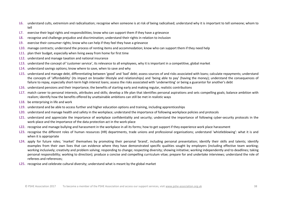- L6. understand cults, extremism and radicalisation; recognise when someone is at risk of being radicalised; understand why it is important to tell someone; whom to tell
- L7. exercise their legal rights and responsibilities; know who can support them if they have a grievance
- L8. recognise and challenge prejudice and discrimination; understand their rights in relation to inclusion
- L9. exercise their consumer rights; know who can help if they feel they have a grievance
- **L10.** manage contracts: understand the process of renting items and accommodation: know who can support them if they need help
- **L11.** plan their budget, especially when living away from home for first time
- **L12.** understand and manage taxation and national insurance
- L13. understand the concept of 'customer service', its relevance to all employees, why it is important in a competitive, global market
- L14. understand savings options; know where to save, when to save and why
- L15. understand and manage debt, differentiating between 'good' and 'bad' debt; assess sources of and risks associated with loans; calculate repayments; understand the concepts of 'affordability' (its impact on broader lifestyle and relationships) and 'being able to pay' (having the money); understand the consequences of failure to repay, especially short-term high interest loans; assess the risks associated with 'underwriting' or being a guarantor for another's debt
- L16. understand pensions and their importance; the benefits of starting early and making regular, realistic contributions
- L17. match career to personal interests, attributes and skills; develop a life plan that identifies personal aspirations and sets compelling goals; balance ambition with realism: identify how the benefits offered by unattainable ambitions can still be met in realistic ways
- L18. be enterprising in life and work
- L19. understand and be able to access further and higher education options and training, including apprenticeships
- **L20.** understand and manage health and safety in the workplace; understand the importance of following workplace policies and protocols
- L21. understand and appreciate the importance of workplace confidentiality and security; understand the importance of following cyber-security protocols in the work-place and the importance of the data protection act in the work-place
- L22. recognise and manage bullying and harassment in the workplace in all its forms; how to get support if they experience work place harassment
- L23. recognise the different roles of human resources (HR) departments, trade unions and professional organisations; understand 'whistleblowing': what it is and when it is appropriate
- L24. apply for future roles; 'market' themselves by promoting their personal 'brand', including personal presentation; identify their skills and talents; identify examples from their own lives that can evidence where they have demonstrated specific qualities sought by employers (including effective team working; working inclusively; creativity and problem solving; responding to change; respecting diversity; showing initiative; working independently and to deadlines; taking personal responsibility; working to direction); produce a concise and compelling curriculum vitae; prepare for and undertake interviews; understand the role of referees and references:
- <span id="page-38-0"></span>**L25.** recognise and celebrate cultural diversity: understand what is meant by the global market